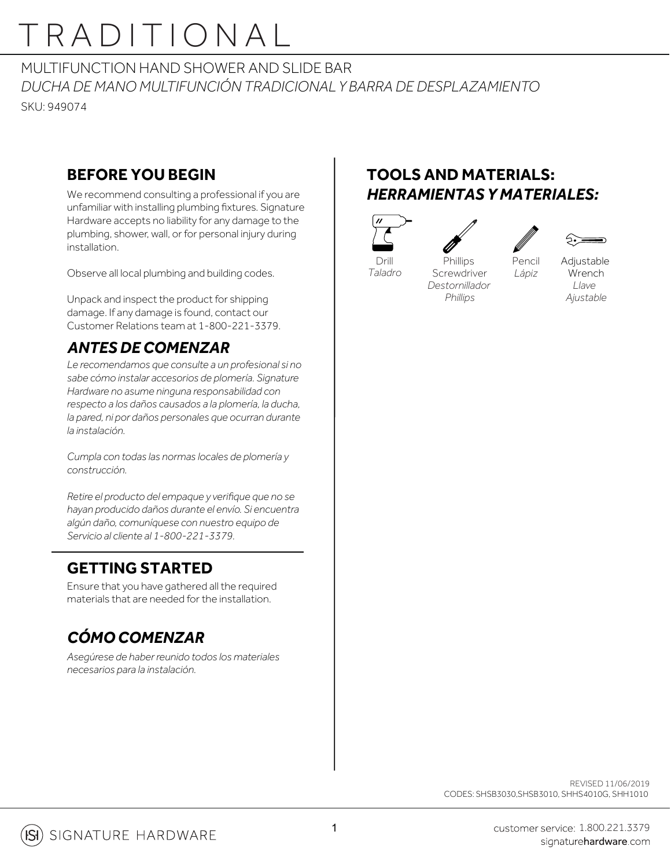# TRADITIONAL

MULTIFUNCTION HAND SHOWER AND SLIDE BAR *DUCHA DE MANO MULTIFUNCIÓN TRADICIONAL Y BARRA DE DESPLAZAMIENTO* SKU: 949074

### **BEFORE YOU BEGIN**

We recommend consulting a professional if you are unfamiliar with installing plumbing fixtures. Signature Hardware accepts no liability for any damage to the plumbing, shower, wall, or for personal injury during installation.

Observe all local plumbing and building codes.

Unpack and inspect the product for shipping damage. If any damage is found, contact our Customer Relations team at 1-800-221-3379.

### *ANTES DE COMENZAR*

*Le recomendamos que consulte a un profesional si no sabe cómo instalar accesorios de plomería. Signature Hardware no asume ninguna responsabilidad con respecto a los daños causados a la plomería, la ducha, la pared, ni por daños personales que ocurran durante la instalación.*

*Cumpla con todas las normas locales de plomería y construcción.*

*Retire el producto del empaque y verifique que no se hayan producido daños durante el envío. Si encuentra algún daño, comuníquese con nuestro equipo de Servicio al cliente al 1-800-221-3379.*

#### **GETTING STARTED**

Ensure that you have gathered all the required materials that are needed for the installation.

### *CÓMO COMENZAR*

*Asegúrese de haber reunido todos los materiales necesarios para la instalación.*

### **TOOLS AND MATERIALS:** *HERRAMIENTAS Y MATERIALES:*



*Taladro*



Pencil *Lápiz*



**Phillips Screwdriver** *Destornillador Phillips*

Adjustable **Wrench** *Llave Ajustable*

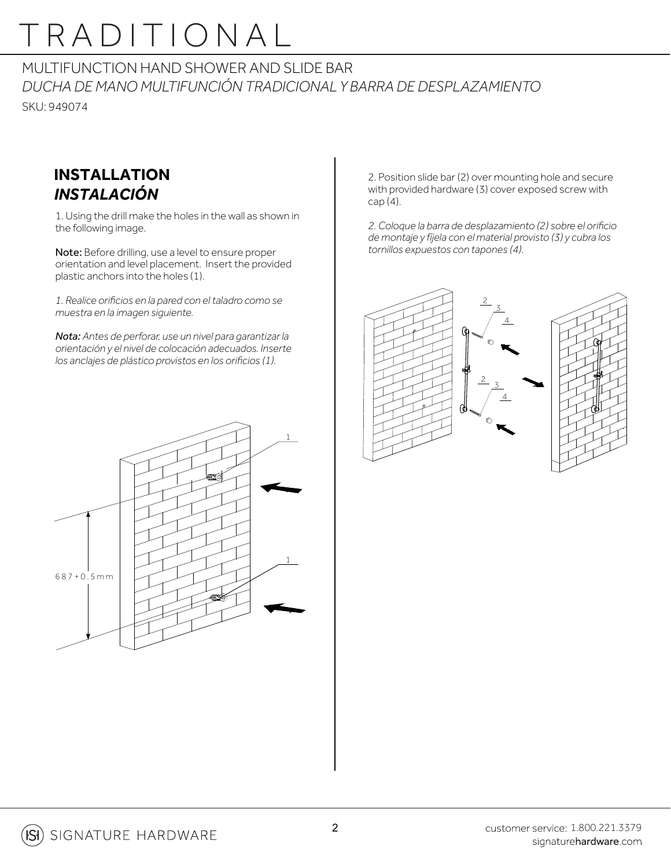## TRADITIONAL

#### MULTIFUNCTION HAND SHOWER AND SLIDE BAR *DUCHA DE MANO MULTIFUNCIÓN TRADICIONAL Y BARRA DE DESPLAZAMIENTO* SKU: 949074

### **INSTALLATION** *INSTALACIÓN*

1. Using the drill make the holes in the wall as shown in the following image.

Note: Before drilling, use a level to ensure proper orientation and level placement. Insert the provided plastic anchors into the holes (1).

*1. Realice orificios en la pared con el taladro como se muestra en la imagen siguiente.*

*Nota: Antes de perforar, use un nivel para garantizar la orientación y el nivel de colocación adecuados. Inserte los anclajes de plástico provistos en los orificios (1).*



2. Position slide bar (2) over mounting hole and secure with provided hardware (3) cover exposed screw with cap (4).

*2. Coloque la barra de desplazamiento (2) sobre el orificio de montaje y fíjela con el material provisto (3) y cubra los tornillos expuestos con tapones (4).*